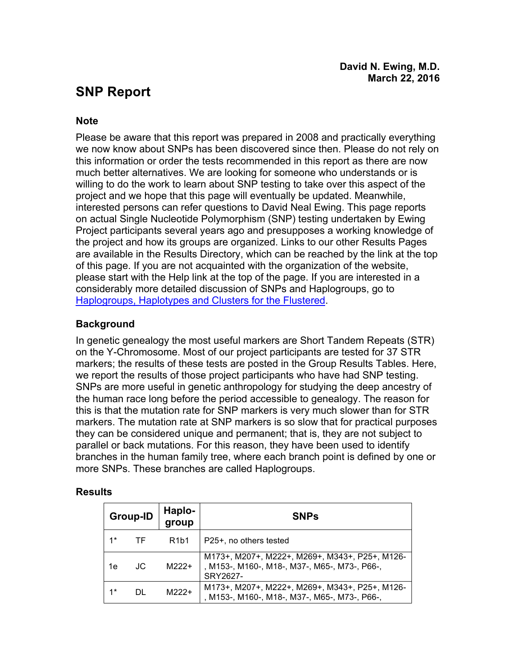# **SNP Report**

#### **Note**

Please be aware that this report was prepared in 2008 and practically everything we now know about SNPs has been discovered since then. Please do not rely on this information or order the tests recommended in this report as there are now much better alternatives. We are looking for someone who understands or is willing to do the work to learn about SNP testing to take over this aspect of the project and we hope that this page will eventually be updated. Meanwhile, interested persons can refer questions to David Neal Ewing. This page reports on actual Single Nucleotide Polymorphism (SNP) testing undertaken by Ewing Project participants several years ago and presupposes a working knowledge of the project and how its groups are organized. Links to our other Results Pages are available in the Results Directory, which can be reached by the link at the top of this page. If you are not acquainted with the organization of the website, please start with the Help link at the top of the page. If you are interested in a considerably more detailed discussion of SNPs and Haplogroups, go to Haplogroups, Haplotypes and Clusters for the Flustered.

### **Background**

In genetic genealogy the most useful markers are Short Tandem Repeats (STR) on the Y-Chromosome. Most of our project participants are tested for 37 STR markers; the results of these tests are posted in the Group Results Tables. Here, we report the results of those project participants who have had SNP testing. SNPs are more useful in genetic anthropology for studying the deep ancestry of the human race long before the period accessible to genealogy. The reason for this is that the mutation rate for SNP markers is very much slower than for STR markers. The mutation rate at SNP markers is so slow that for practical purposes they can be considered unique and permanent; that is, they are not subject to parallel or back mutations. For this reason, they have been used to identify branches in the human family tree, where each branch point is defined by one or more SNPs. These branches are called Haplogroups.

#### **Results**

| Group-ID |     | Haplo-<br>group               | <b>SNPs</b>                                                                                                 |
|----------|-----|-------------------------------|-------------------------------------------------------------------------------------------------------------|
| $1*$     | TF. | R <sub>1</sub> b <sub>1</sub> | P25+, no others tested                                                                                      |
| 1e       | JC. | $M222+$                       | M173+, M207+, M222+, M269+, M343+, P25+, M126-<br>, M153-, M160-, M18-, M37-, M65-, M73-, P66-,<br>SRY2627- |
| $1*$     |     | $M222+$                       | M173+, M207+, M222+, M269+, M343+, P25+, M126-<br>, M153-, M160-, M18-, M37-, M65-, M73-, P66-,             |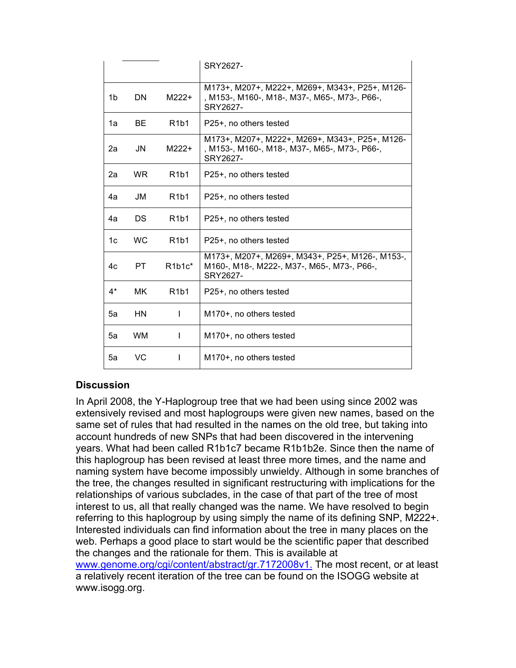|       |           |                               | SRY2627-                                                                                                    |
|-------|-----------|-------------------------------|-------------------------------------------------------------------------------------------------------------|
| 1b    | DN        | $M222+$                       | M173+, M207+, M222+, M269+, M343+, P25+, M126-<br>, M153-, M160-, M18-, M37-, M65-, M73-, P66-,<br>SRY2627- |
| 1a    | ВF        | R <sub>1</sub> b <sub>1</sub> | P25+, no others tested                                                                                      |
| 2a    | JN        | $M222+$                       | M173+, M207+, M222+, M269+, M343+, P25+, M126-<br>, M153-, M160-, M18-, M37-, M65-, M73-, P66-,<br>SRY2627- |
| 2a    | WR.       | R <sub>1</sub> b <sub>1</sub> | P25+, no others tested                                                                                      |
| 4a    | JM        | R <sub>1</sub> b <sub>1</sub> | P25+, no others tested                                                                                      |
| 4a    | DS        | R <sub>1</sub> b <sub>1</sub> | P25+, no others tested                                                                                      |
| 1c    | <b>WC</b> | R <sub>1</sub> b <sub>1</sub> | P25+, no others tested                                                                                      |
| 4c    | PT.       | $R1b1c^*$                     | M173+, M207+, M269+, M343+, P25+, M126-, M153-,<br>M160-, M18-, M222-, M37-, M65-, M73-, P66-,<br>SRY2627-  |
| $4^*$ | <b>MK</b> | R <sub>1</sub> b <sub>1</sub> | P25+, no others tested                                                                                      |
| 5а    | ΗN        | L                             | M170+, no others tested                                                                                     |
| 5a    | <b>WM</b> | I.                            | M170+, no others tested                                                                                     |
| 5a    | VC        | ı                             | M <sub>170</sub> +, no others tested                                                                        |

#### **Discussion**

In April 2008, the Y-Haplogroup tree that we had been using since 2002 was extensively revised and most haplogroups were given new names, based on the same set of rules that had resulted in the names on the old tree, but taking into account hundreds of new SNPs that had been discovered in the intervening years. What had been called R1b1c7 became R1b1b2e. Since then the name of this haplogroup has been revised at least three more times, and the name and naming system have become impossibly unwieldy. Although in some branches of the tree, the changes resulted in significant restructuring with implications for the relationships of various subclades, in the case of that part of the tree of most interest to us, all that really changed was the name. We have resolved to begin referring to this haplogroup by using simply the name of its defining SNP, M222+. Interested individuals can find information about the tree in many places on the web. Perhaps a good place to start would be the scientific paper that described the changes and the rationale for them. This is available at www.genome.org/cgi/content/abstract/gr.7172008v1. The most recent, or at least a relatively recent iteration of the tree can be found on the ISOGG website at www.isogg.org.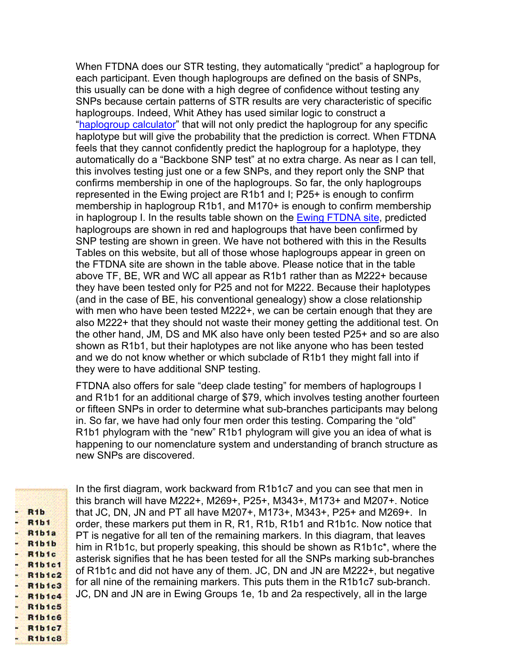When FTDNA does our STR testing, they automatically "predict" a haplogroup for each participant. Even though haplogroups are defined on the basis of SNPs, this usually can be done with a high degree of confidence without testing any SNPs because certain patterns of STR results are very characteristic of specific haplogroups. Indeed, Whit Athey has used similar logic to construct a "haplogroup calculator" that will not only predict the haplogroup for any specific haplotype but will give the probability that the prediction is correct. When FTDNA feels that they cannot confidently predict the haplogroup for a haplotype, they automatically do a "Backbone SNP test" at no extra charge. As near as I can tell, this involves testing just one or a few SNPs, and they report only the SNP that confirms membership in one of the haplogroups. So far, the only haplogroups represented in the Ewing project are R1b1 and I; P25+ is enough to confirm membership in haplogroup R1b1, and M170+ is enough to confirm membership in haplogroup I. In the results table shown on the **Ewing FTDNA site**, predicted haplogroups are shown in red and haplogroups that have been confirmed by SNP testing are shown in green. We have not bothered with this in the Results Tables on this website, but all of those whose haplogroups appear in green on the FTDNA site are shown in the table above. Please notice that in the table above TF, BE, WR and WC all appear as R1b1 rather than as M222+ because they have been tested only for P25 and not for M222. Because their haplotypes (and in the case of BE, his conventional genealogy) show a close relationship with men who have been tested M222+, we can be certain enough that they are also M222+ that they should not waste their money getting the additional test. On the other hand, JM, DS and MK also have only been tested P25+ and so are also shown as R1b1, but their haplotypes are not like anyone who has been tested and we do not know whether or which subclade of R1b1 they might fall into if they were to have additional SNP testing.

FTDNA also offers for sale "deep clade testing" for members of haplogroups I and R1b1 for an additional charge of \$79, which involves testing another fourteen or fifteen SNPs in order to determine what sub-branches participants may belong in. So far, we have had only four men order this testing. Comparing the "old" R1b1 phylogram with the "new" R1b1 phylogram will give you an idea of what is happening to our nomenclature system and understanding of branch structure as new SNPs are discovered.

| R <sub>1</sub> b                      |
|---------------------------------------|
|                                       |
|                                       |
|                                       |
|                                       |
|                                       |
| <b>R1b1</b>                           |
|                                       |
|                                       |
|                                       |
|                                       |
| R <sub>1</sub> b <sub>1a</sub>        |
|                                       |
|                                       |
|                                       |
|                                       |
| ı,<br>R <sub>1</sub> b <sub>1</sub> b |
|                                       |
|                                       |
|                                       |
|                                       |
| R <sub>1</sub> b <sub>ic</sub><br>٥   |
|                                       |
|                                       |
|                                       |
|                                       |
| <b>R1b1c1</b>                         |
|                                       |
|                                       |
|                                       |
|                                       |
| ۹<br><b>R1b1c2</b>                    |
|                                       |
|                                       |
|                                       |
|                                       |
| R <sub>1</sub> b <sub>1c3</sub><br>۷  |
|                                       |
|                                       |
|                                       |
|                                       |
| <b>R1b1c4</b><br>s                    |
|                                       |
|                                       |
|                                       |
|                                       |
| <b>R1b1c5</b><br>۷                    |
|                                       |
|                                       |
|                                       |
|                                       |
| ä,                                    |
| R <sub>1</sub> b <sub>1c</sub> 6      |
|                                       |
|                                       |
|                                       |
| <b>R1b1c7</b>                         |
| ä                                     |
|                                       |
|                                       |
|                                       |
|                                       |
|                                       |
|                                       |
| R <sub>1b1c</sub> 8                   |

In the first diagram, work backward from R1b1c7 and you can see that men in this branch will have M222+, M269+, P25+, M343+, M173+ and M207+. Notice that JC, DN, JN and PT all have M207+, M173+, M343+, P25+ and M269+. In order, these markers put them in R, R1, R1b, R1b1 and R1b1c. Now notice that PT is negative for all ten of the remaining markers. In this diagram, that leaves him in R1b1c, but properly speaking, this should be shown as R1b1c\*, where the asterisk signifies that he has been tested for all the SNPs marking sub-branches of R1b1c and did not have any of them. JC, DN and JN are M222+, but negative for all nine of the remaining markers. This puts them in the R1b1c7 sub-branch. JC, DN and JN are in Ewing Groups 1e, 1b and 2a respectively, all in the large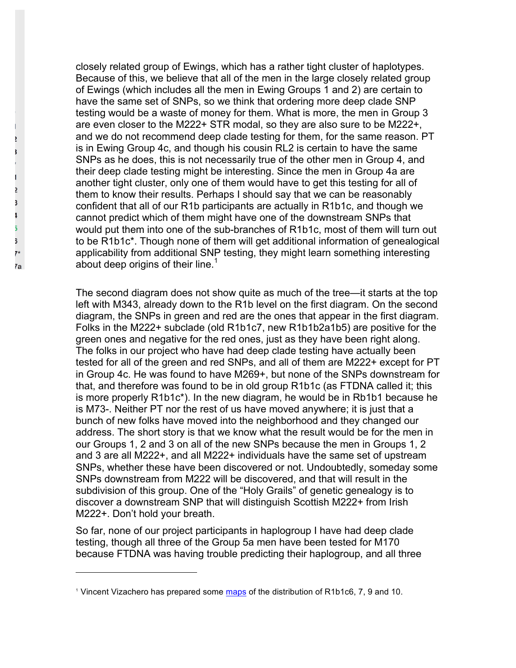closely related group of Ewings, which has a rather tight cluster of haplotypes. Because of this, we believe that all of the men in the large closely related group of Ewings (which includes all the men in Ewing Groups 1 and 2) are certain to have the same set of SNPs, so we think that ordering more deep clade SNP testing would be a waste of money for them. What is more, the men in Group 3 are even closer to the M222+ STR modal, so they are also sure to be M222+, and we do not recommend deep clade testing for them, for the same reason. PT is in Ewing Group 4c, and though his cousin RL2 is certain to have the same SNPs as he does, this is not necessarily true of the other men in Group 4, and their deep clade testing might be interesting. Since the men in Group 4a are another tight cluster, only one of them would have to get this testing for all of them to know their results. Perhaps I should say that we can be reasonably confident that all of our R1b participants are actually in R1b1c, and though we cannot predict which of them might have one of the downstream SNPs that would put them into one of the sub-branches of R1b1c, most of them will turn out to be R1b1c\*. Though none of them will get additional information of genealogical applicability from additional SNP testing, they might learn something interesting about deep origins of their line.<sup>1</sup>

The second diagram does not show quite as much of the tree—it starts at the top left with M343, already down to the R1b level on the first diagram. On the second diagram, the SNPs in green and red are the ones that appear in the first diagram. Folks in the M222+ subclade (old R1b1c7, new R1b1b2a1b5) are positive for the green ones and negative for the red ones, just as they have been right along. The folks in our project who have had deep clade testing have actually been tested for all of the green and red SNPs, and all of them are M222+ except for PT in Group 4c. He was found to have M269+, but none of the SNPs downstream for that, and therefore was found to be in old group R1b1c (as FTDNA called it; this is more properly R1b1c\*). In the new diagram, he would be in Rb1b1 because he is M73-. Neither PT nor the rest of us have moved anywhere; it is just that a bunch of new folks have moved into the neighborhood and they changed our address. The short story is that we know what the result would be for the men in our Groups 1, 2 and 3 on all of the new SNPs because the men in Groups 1, 2 and 3 are all M222+, and all M222+ individuals have the same set of upstream SNPs, whether these have been discovered or not. Undoubtedly, someday some SNPs downstream from M222 will be discovered, and that will result in the subdivision of this group. One of the "Holy Grails" of genetic genealogy is to discover a downstream SNP that will distinguish Scottish M222+ from Irish M222+. Don't hold your breath.

So far, none of our project participants in haplogroup I have had deep clade testing, though all three of the Group 5a men have been tested for M170 because FTDNA was having trouble predicting their haplogroup, and all three

 $\overline{a}$ 

Ž 3

5. ĵ,  $\overline{\ }$ 7a

<sup>1</sup> Vincent Vizachero has prepared some maps of the distribution of R1b1c6, 7, 9 and 10.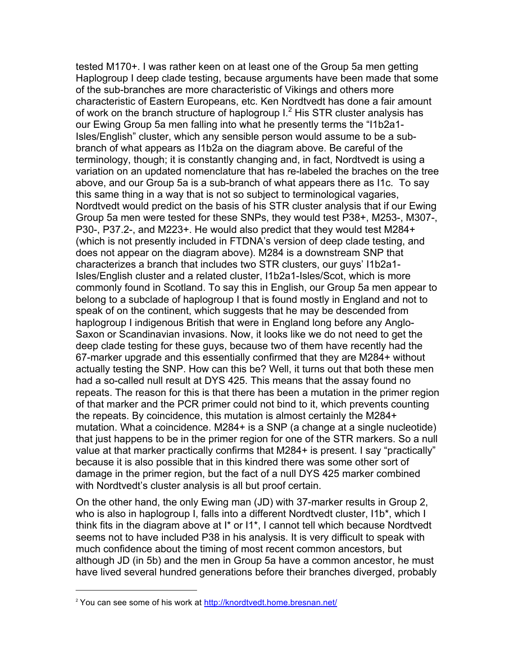tested M170+. I was rather keen on at least one of the Group 5a men getting Haplogroup I deep clade testing, because arguments have been made that some of the sub-branches are more characteristic of Vikings and others more characteristic of Eastern Europeans, etc. Ken Nordtvedt has done a fair amount of work on the branch structure of haplogroup  $1<sup>2</sup>$  His STR cluster analysis has our Ewing Group 5a men falling into what he presently terms the "I1b2a1- Isles/English" cluster, which any sensible person would assume to be a subbranch of what appears as I1b2a on the diagram above. Be careful of the terminology, though; it is constantly changing and, in fact, Nordtvedt is using a variation on an updated nomenclature that has re-labeled the braches on the tree above, and our Group 5a is a sub-branch of what appears there as I1c. To say this same thing in a way that is not so subject to terminological vagaries, Nordtvedt would predict on the basis of his STR cluster analysis that if our Ewing Group 5a men were tested for these SNPs, they would test P38+, M253-, M307-, P30-, P37.2-, and M223+. He would also predict that they would test M284+ (which is not presently included in FTDNA's version of deep clade testing, and does not appear on the diagram above). M284 is a downstream SNP that characterizes a branch that includes two STR clusters, our guys' I1b2a1- Isles/English cluster and a related cluster, I1b2a1-Isles/Scot, which is more commonly found in Scotland. To say this in English, our Group 5a men appear to belong to a subclade of haplogroup I that is found mostly in England and not to speak of on the continent, which suggests that he may be descended from haplogroup I indigenous British that were in England long before any Anglo-Saxon or Scandinavian invasions. Now, it looks like we do not need to get the deep clade testing for these guys, because two of them have recently had the 67-marker upgrade and this essentially confirmed that they are M284+ without actually testing the SNP. How can this be? Well, it turns out that both these men had a so-called null result at DYS 425. This means that the assay found no repeats. The reason for this is that there has been a mutation in the primer region of that marker and the PCR primer could not bind to it, which prevents counting the repeats. By coincidence, this mutation is almost certainly the M284+ mutation. What a coincidence. M284+ is a SNP (a change at a single nucleotide) that just happens to be in the primer region for one of the STR markers. So a null value at that marker practically confirms that M284+ is present. I say "practically" because it is also possible that in this kindred there was some other sort of damage in the primer region, but the fact of a null DYS 425 marker combined with Nordtvedt's cluster analysis is all but proof certain.

On the other hand, the only Ewing man (JD) with 37-marker results in Group 2, who is also in haplogroup I, falls into a different Nordtvedt cluster, I1b<sup>\*</sup>, which I think fits in the diagram above at I\* or I1\*, I cannot tell which because Nordtvedt seems not to have included P38 in his analysis. It is very difficult to speak with much confidence about the timing of most recent common ancestors, but although JD (in 5b) and the men in Group 5a have a common ancestor, he must have lived several hundred generations before their branches diverged, probably

 $\overline{a}$ 

<sup>&</sup>lt;sup>2</sup> You can see some of his work at http://knordtvedt.home.bresnan.net/